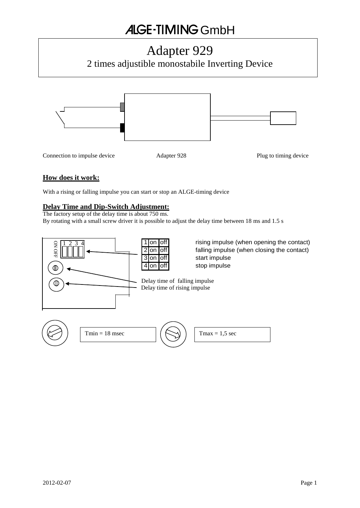# **ALGE-TIMING GmbH**

# Adapter 929

2 times adjustible monostabile Inverting Device



## **How does it work:**

With a rising or falling impulse you can start or stop an ALGE-timing device

## **Delay Time and Dip-Switch Adjustment:**

The factory setup of the delay time is about 750 ms. By rotating with a small screw driver it is possible to adjust the delay time between 18 ms and 1.5 s